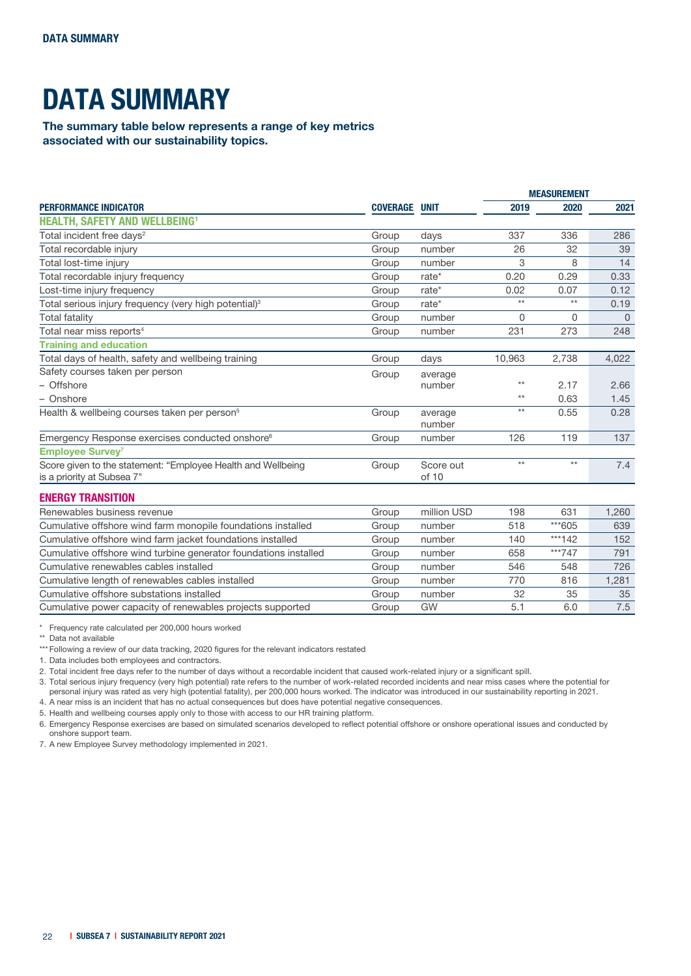## DATA SUMMARY

The summary table below represents a range of key metrics associated with our sustainability topics.

| <b>PERFORMANCE INDICATOR</b>                                                               |                 | UNIT               | <b>MEASUREMENT</b> |       |          |
|--------------------------------------------------------------------------------------------|-----------------|--------------------|--------------------|-------|----------|
|                                                                                            | <b>COVERAGE</b> |                    | 2019               | 2020  | 2021     |
| <b>HEALTH, SAFETY AND WELLBEING1</b>                                                       |                 |                    |                    |       |          |
| Total incident free days <sup>2</sup>                                                      | Group           | days               | 337                | 336   | 286      |
| Total recordable injury                                                                    | Group           | number             | 26                 | 32    | 39       |
| Total lost-time injury                                                                     | Group           | number             | 3                  | 8     | 14       |
| Total recordable injury frequency                                                          | Group           | rate*              | 0.20               | 0.29  | 0.33     |
| Lost-time injury frequency                                                                 | Group           | rate*              | 0.02               | 0.07  | 0.12     |
| Total serious injury frequency (very high potential) <sup>3</sup>                          | Group           | rate*              | $**$               | $**$  | 0.19     |
| <b>Total fatality</b>                                                                      | Group           | number             | 0                  | 0     | $\Omega$ |
| Total near miss reports <sup>4</sup>                                                       | Group           | number             | 231                | 273   | 248      |
| <b>Training and education</b>                                                              |                 |                    |                    |       |          |
| Total days of health, safety and wellbeing training                                        | Group           | days               | 10,963             | 2,738 | 4,022    |
| Safety courses taken per person                                                            | Group           | average            |                    |       |          |
| - Offshore                                                                                 |                 | number             | $***$              | 2.17  | 2.66     |
| - Onshore                                                                                  |                 |                    | $***$              | 0.63  | 1.45     |
| Health & wellbeing courses taken per person <sup>5</sup>                                   | Group           | average<br>number  | $***$              | 0.55  | 0.28     |
| Emergency Response exercises conducted onshore <sup>6</sup>                                | Group           | number             | 126                | 119   | 137      |
| <b>Employee Survey</b> 7                                                                   |                 |                    |                    |       |          |
| Score given to the statement: "Employee Health and Wellbeing<br>is a priority at Subsea 7" | Group           | Score out<br>of 10 | $**$               | $**$  | 7.4      |
| <b>ENERGY TRANSITION</b>                                                                   |                 |                    |                    |       |          |
| Renewables business revenue                                                                | Group           | million USD        | 198                | 631   | 1.260    |

| Renewables business revenue                                      | Group | million USD | 198 | 631    | 1.260 |
|------------------------------------------------------------------|-------|-------------|-----|--------|-------|
| Cumulative offshore wind farm monopile foundations installed     | Group | number      | 518 | ***605 | 639   |
| Cumulative offshore wind farm jacket foundations installed       | Group | number      | 140 | ***142 | 152   |
| Cumulative offshore wind turbine generator foundations installed | Group | number      | 658 | ***747 | 791   |
| Cumulative renewables cables installed                           | Group | number      | 546 | 548    | 726   |
| Cumulative length of renewables cables installed                 | Group | number      | 770 | 816    | 1.281 |
| Cumulative offshore substations installed                        | Group | number      | 32  | 35     | 35    |
| Cumulative power capacity of renewables projects supported       | Group | GW          | 5.1 | 6.0    | 7.5   |

\* Frequency rate calculated per 200,000 hours worked

\*\* Data not available

\*\*\* Following a review of our data tracking, 2020 figures for the relevant indicators restated

1. Data includes both employees and contractors.

2. Total incident free days refer to the number of days without a recordable incident that caused work-related injury or a significant spill.

3. Total serious injury frequency (very high potential) rate refers to the number of work-related recorded incidents and near miss cases where the potential for personal injury was rated as very high (potential fatality), per 200,000 hours worked. The indicator was introduced in our sustainability reporting in 2021.

4. A near miss is an incident that has no actual consequences but does have potential negative consequences.

5. Health and wellbeing courses apply only to those with access to our HR training platform.

6. Emergency Response exercises are based on simulated scenarios developed to reflect potential offshore or onshore operational issues and conducted by onshore support team.

7. A new Employee Survey methodology implemented in 2021.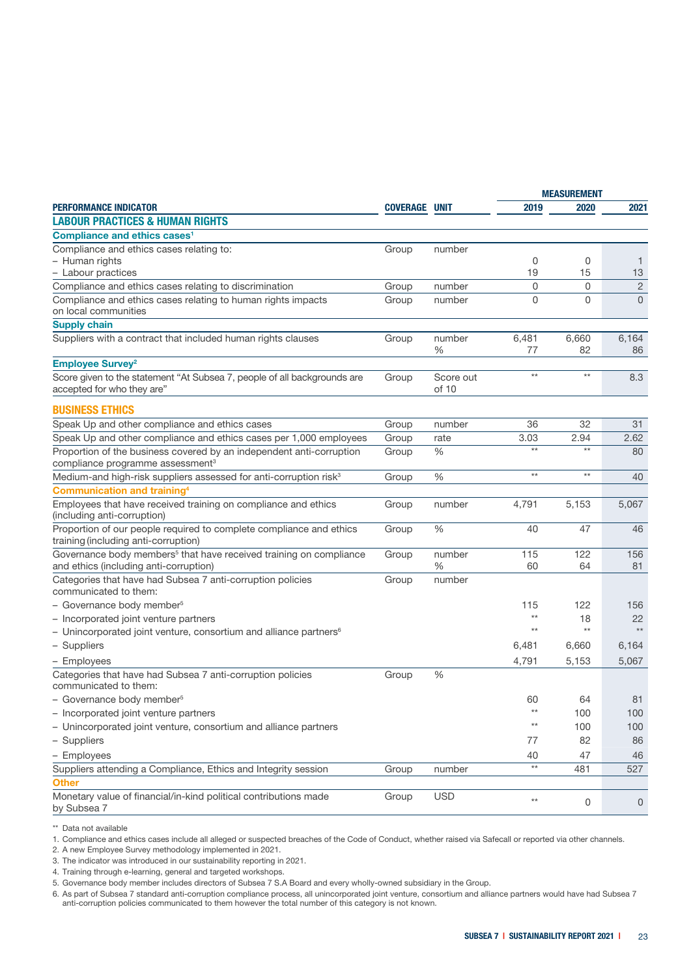|                                                                                |                      |            | <b>MEASUREMENT</b> |                 |                |
|--------------------------------------------------------------------------------|----------------------|------------|--------------------|-----------------|----------------|
| <b>PERFORMANCE INDICATOR</b>                                                   | <b>COVERAGE UNIT</b> |            | 2019               | 2020            | 2021           |
| <b>LABOUR PRACTICES &amp; HUMAN RIGHTS</b>                                     |                      |            |                    |                 |                |
| Compliance and ethics cases <sup>1</sup>                                       |                      |            |                    |                 |                |
| Compliance and ethics cases relating to:                                       | Group                | number     |                    |                 |                |
| - Human rights                                                                 |                      |            | 0                  | 0               | -1             |
| - Labour practices                                                             |                      |            | 19                 | 15              | 13             |
| Compliance and ethics cases relating to discrimination                         | Group                | number     | 0                  | 0               | $\overline{2}$ |
| Compliance and ethics cases relating to human rights impacts                   | Group                | number     | $\overline{0}$     | $\Omega$        | $\Omega$       |
| on local communities                                                           |                      |            |                    |                 |                |
| <b>Supply chain</b>                                                            |                      |            |                    |                 |                |
| Suppliers with a contract that included human rights clauses                   | Group                | number     | 6,481              | 6,660           | 6,164          |
|                                                                                |                      | ℅          | 77                 | 82              | 86             |
| <b>Employee Survey<sup>2</sup></b>                                             |                      |            |                    |                 |                |
| Score given to the statement "At Subsea 7, people of all backgrounds are       | Group                | Score out  | $\star\star$       | $\star\star$    | 8.3            |
| accepted for who they are"                                                     |                      | of 10      |                    |                 |                |
| <b>BUSINESS ETHICS</b>                                                         |                      |            |                    |                 |                |
| Speak Up and other compliance and ethics cases                                 | Group                | number     | 36                 | 32              | 31             |
| Speak Up and other compliance and ethics cases per 1,000 employees             | Group                | rate       | 3.03               | 2.94            | 2.62           |
| Proportion of the business covered by an independent anti-corruption           | Group                | $\%$       | $\star\star$       | $\star\star$    | 80             |
| compliance programme assessment <sup>3</sup>                                   |                      |            |                    |                 |                |
| Medium-and high-risk suppliers assessed for anti-corruption risk <sup>3</sup>  | Group                | $\%$       | $\star\star$       | $^{\star\star}$ | 40             |
| <b>Communication and training4</b>                                             |                      |            |                    |                 |                |
| Employees that have received training on compliance and ethics                 | Group                | number     | 4,791              | 5,153           | 5,067          |
| (including anti-corruption)                                                    |                      |            |                    |                 |                |
| Proportion of our people required to complete compliance and ethics            | Group                | $\%$       | 40                 | 47              | 46             |
| training (including anti-corruption)                                           |                      |            |                    |                 |                |
| Governance body members <sup>5</sup> that have received training on compliance | Group                | number     | 115                | 122             | 156            |
| and ethics (including anti-corruption)                                         |                      | ℅          | 60                 | 64              | 81             |
| Categories that have had Subsea 7 anti-corruption policies                     | Group                | number     |                    |                 |                |
| communicated to them:                                                          |                      |            |                    |                 |                |
| - Governance body member <sup>5</sup>                                          |                      |            | 115                | 122             | 156            |
| - Incorporated joint venture partners                                          |                      |            | $**$               | 18              | 22             |
| - Unincorporated joint venture, consortium and alliance partners <sup>6</sup>  |                      |            | $**$               | $^{\star\star}$ | $\star\star$   |
| - Suppliers                                                                    |                      |            | 6,481              | 6,660           | 6,164          |
| - Employees                                                                    |                      |            | 4,791              | 5,153           | 5,067          |
| Categories that have had Subsea 7 anti-corruption policies                     | Group                | $\%$       |                    |                 |                |
| communicated to them:                                                          |                      |            |                    |                 |                |
| - Governance body member <sup>5</sup>                                          |                      |            | 60                 | 64              | 81             |
| - Incorporated joint venture partners                                          |                      |            | $***$              | 100             | 100            |
| - Unincorporated joint venture, consortium and alliance partners               |                      |            | $**$               | 100             | 100            |
| - Suppliers                                                                    |                      |            | 77                 | 82              | 86             |
| - Employees                                                                    |                      |            | 40                 | 47              | 46             |
| Suppliers attending a Compliance, Ethics and Integrity session                 | Group                | number     | $\star\star$       | 481             | 527            |
| <b>Other</b>                                                                   |                      |            |                    |                 |                |
| Monetary value of financial/in-kind political contributions made               | Group                | <b>USD</b> |                    |                 |                |
| by Subsea 7                                                                    |                      |            | $^{\star\star}$    | 0               | 0              |
|                                                                                |                      |            |                    |                 |                |

\*\* Data not available

1. Compliance and ethics cases include all alleged or suspected breaches of the Code of Conduct, whether raised via Safecall or reported via other channels.

2. A new Employee Survey methodology implemented in 2021.

3. The indicator was introduced in our sustainability reporting in 2021.

4. Training through e-learning, general and targeted workshops.

5. Governance body member includes directors of Subsea 7 S.A Board and every wholly-owned subsidiary in the Group.

6. As part of Subsea 7 standard anti-corruption compliance process, all unincorporated joint venture, consortium and alliance partners would have had Subsea 7 anti-corruption policies communicated to them however the total number of this category is not known.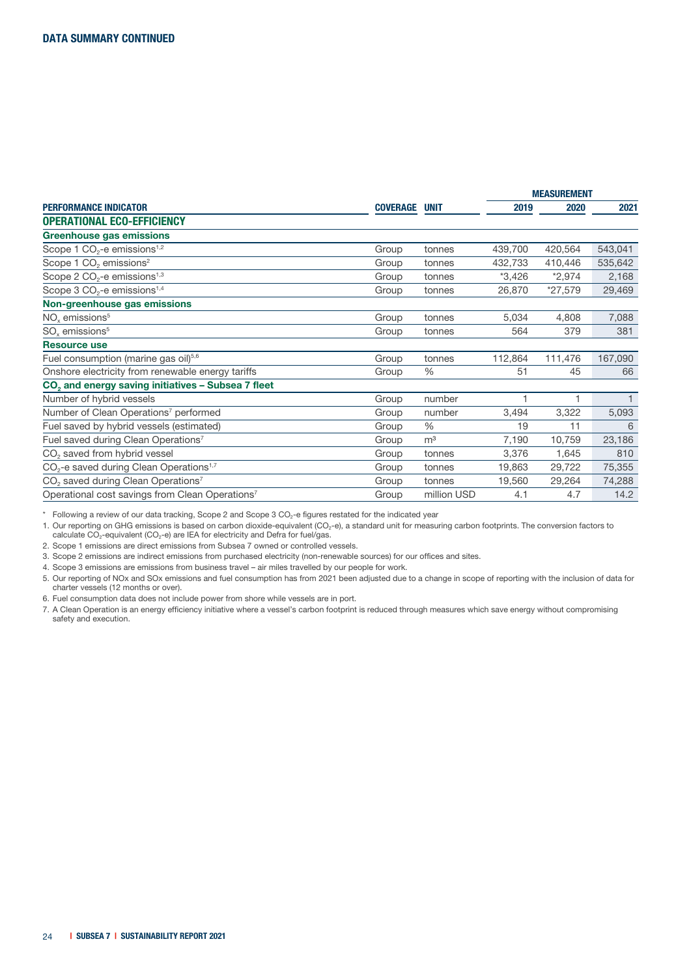|                                                                 |                      |                | <b>MEASUREMENT</b> |           |         |
|-----------------------------------------------------------------|----------------------|----------------|--------------------|-----------|---------|
| <b>PERFORMANCE INDICATOR</b>                                    | <b>COVERAGE UNIT</b> |                | 2019               | 2020      | 2021    |
| <b>OPERATIONAL ECO-EFFICIENCY</b>                               |                      |                |                    |           |         |
| Greenhouse gas emissions                                        |                      |                |                    |           |         |
| Scope 1 $CO2$ -e emissions <sup>1,2</sup>                       | Group                | tonnes         | 439,700            | 420,564   | 543,041 |
| Scope 1 CO <sub>2</sub> emissions <sup>2</sup>                  | Group                | tonnes         | 432,733            | 410,446   | 535,642 |
| Scope 2 $CO2$ -e emissions <sup>1,3</sup>                       | Group                | tonnes         | $*3,426$           | $*2,974$  | 2,168   |
| Scope 3 $CO2$ -e emissions <sup>1,4</sup>                       | Group                | tonnes         | 26,870             | $*27,579$ | 29,469  |
| Non-greenhouse gas emissions                                    |                      |                |                    |           |         |
| $NOx$ emissions <sup>5</sup>                                    | Group                | tonnes         | 5,034              | 4,808     | 7,088   |
| $SOx$ emissions <sup>5</sup>                                    | Group                | tonnes         | 564                | 379       | 381     |
| <b>Resource use</b>                                             |                      |                |                    |           |         |
| Fuel consumption (marine gas oil) <sup>5,6</sup>                | Group                | tonnes         | 112,864            | 111,476   | 167,090 |
| Onshore electricity from renewable energy tariffs               | Group                | $\%$           | 51                 | 45        | 66      |
| CO <sub>2</sub> and energy saving initiatives - Subsea 7 fleet  |                      |                |                    |           |         |
| Number of hybrid vessels                                        | Group                | number         | 1                  | 1         |         |
| Number of Clean Operations <sup>7</sup> performed               | Group                | number         | 3,494              | 3,322     | 5,093   |
| Fuel saved by hybrid vessels (estimated)                        | Group                | $\frac{0}{0}$  | 19                 | 11        | 6       |
| Fuel saved during Clean Operations <sup>7</sup>                 | Group                | m <sup>3</sup> | 7,190              | 10,759    | 23,186  |
| CO <sub>2</sub> saved from hybrid vessel                        | Group                | tonnes         | 3,376              | 1,645     | 810     |
| CO <sub>2</sub> -e saved during Clean Operations <sup>1,7</sup> | Group                | tonnes         | 19,863             | 29,722    | 75,355  |
| CO <sub>2</sub> saved during Clean Operations <sup>7</sup>      | Group                | tonnes         | 19,560             | 29,264    | 74,288  |
| Operational cost savings from Clean Operations <sup>7</sup>     | Group                | million USD    | 4.1                | 4.7       | 14.2    |

 $*$  Following a review of our data tracking, Scope 2 and Scope 3 CO<sub>2</sub>-e figures restated for the indicated year

1. Our reporting on GHG emissions is based on carbon dioxide-equivalent (CO<sub>2</sub>-e), a standard unit for measuring carbon footprints. The conversion factors to

calculate  $CO_2$ -equivalent (CO<sub>2</sub>-e) are IEA for electricity and Defra for fuel/gas.

2. Scope 1 emissions are direct emissions from Subsea 7 owned or controlled vessels.

3. Scope 2 emissions are indirect emissions from purchased electricity (non-renewable sources) for our offices and sites.

4. Scope 3 emissions are emissions from business travel – air miles travelled by our people for work.

5. Our reporting of NOx and SOx emissions and fuel consumption has from 2021 been adjusted due to a change in scope of reporting with the inclusion of data for charter vessels (12 months or over).

6. Fuel consumption data does not include power from shore while vessels are in port.

7. A Clean Operation is an energy efficiency initiative where a vessel's carbon footprint is reduced through measures which save energy without compromising safety and execution.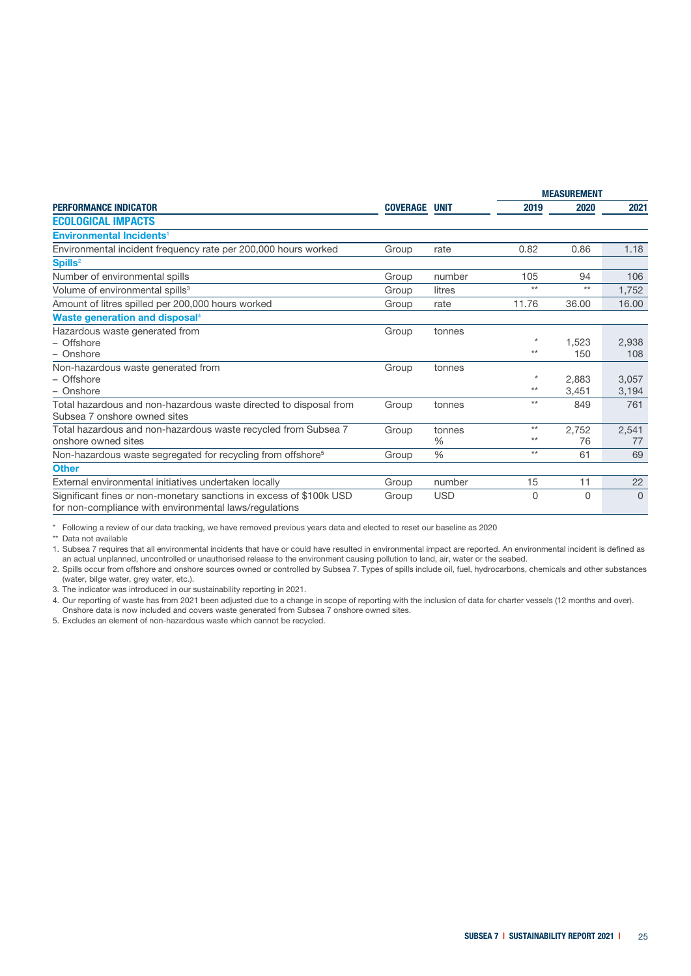| <b>PERFORMANCE INDICATOR</b>                                                                                                  |                      |               | <b>MEASUREMENT</b> |          |          |
|-------------------------------------------------------------------------------------------------------------------------------|----------------------|---------------|--------------------|----------|----------|
|                                                                                                                               | <b>COVERAGE UNIT</b> |               | 2019               | 2020     | 2021     |
| <b>ECOLOGICAL IMPACTS</b>                                                                                                     |                      |               |                    |          |          |
| <b>Environmental Incidents<sup>1</sup></b>                                                                                    |                      |               |                    |          |          |
| Environmental incident frequency rate per 200,000 hours worked                                                                | Group                | rate          | 0.82               | 0.86     | 1.18     |
| Spills <sup>2</sup>                                                                                                           |                      |               |                    |          |          |
| Number of environmental spills                                                                                                | Group                | number        | 105                | 94       | 106      |
| Volume of environmental spills <sup>3</sup>                                                                                   | Group                | litres        | $**$               | $***$    | 1,752    |
| Amount of litres spilled per 200,000 hours worked                                                                             | Group                | rate          | 11.76              | 36.00    | 16.00    |
| Waste generation and disposal <sup>4</sup>                                                                                    |                      |               |                    |          |          |
| Hazardous waste generated from                                                                                                | Group                | tonnes        |                    |          |          |
| - Offshore                                                                                                                    |                      |               | $\star$            | 1,523    | 2,938    |
| - Onshore                                                                                                                     |                      |               | $***$              | 150      | 108      |
| Non-hazardous waste generated from                                                                                            | Group                | tonnes        |                    |          |          |
| - Offshore                                                                                                                    |                      |               | $\star$            | 2.883    | 3,057    |
| - Onshore                                                                                                                     |                      |               | $**$               | 3,451    | 3,194    |
| Total hazardous and non-hazardous waste directed to disposal from                                                             | Group                | tonnes        | $**$               | 849      | 761      |
| Subsea 7 onshore owned sites                                                                                                  |                      |               |                    |          |          |
| Total hazardous and non-hazardous waste recycled from Subsea 7                                                                | Group                | tonnes        | $**$               | 2,752    | 2,541    |
| onshore owned sites                                                                                                           |                      | $\%$          | $**$               | 76       | 77       |
| Non-hazardous waste segregated for recycling from offshore <sup>5</sup>                                                       | Group                | $\frac{0}{0}$ | $**$               | 61       | 69       |
| <b>Other</b>                                                                                                                  |                      |               |                    |          |          |
| External environmental initiatives undertaken locally                                                                         | Group                | number        | 15                 | 11       | 22       |
| Significant fines or non-monetary sanctions in excess of \$100k USD<br>for non-compliance with environmental laws/regulations | Group                | <b>USD</b>    | $\Omega$           | $\Omega$ | $\Omega$ |

\* Following a review of our data tracking, we have removed previous years data and elected to reset our baseline as 2020

\*\* Data not available

1. Subsea 7 requires that all environmental incidents that have or could have resulted in environmental impact are reported. An environmental incident is defined as an actual unplanned, uncontrolled or unauthorised release to the environment causing pollution to land, air, water or the seabed.

2. Spills occur from offshore and onshore sources owned or controlled by Subsea 7. Types of spills include oil, fuel, hydrocarbons, chemicals and other substances (water, bilge water, grey water, etc.).

3. The indicator was introduced in our sustainability reporting in 2021.

4. Our reporting of waste has from 2021 been adjusted due to a change in scope of reporting with the inclusion of data for charter vessels (12 months and over).

Onshore data is now included and covers waste generated from Subsea 7 onshore owned sites.

5. Excludes an element of non-hazardous waste which cannot be recycled.